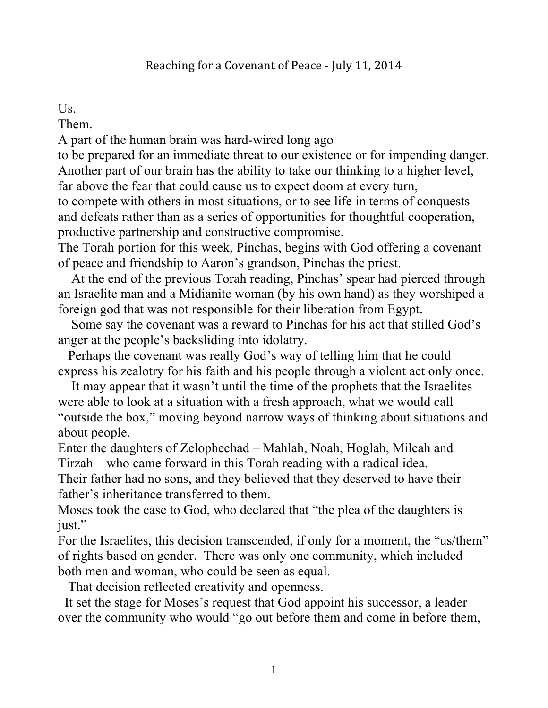## Us.

Them.

A part of the human brain was hard-wired long ago

to be prepared for an immediate threat to our existence or for impending danger. Another part of our brain has the ability to take our thinking to a higher level, far above the fear that could cause us to expect doom at every turn,

to compete with others in most situations, or to see life in terms of conquests and defeats rather than as a series of opportunities for thoughtful cooperation, productive partnership and constructive compromise.

The Torah portion for this week, Pinchas, begins with God offering a covenant of peace and friendship to Aaron's grandson, Pinchas the priest.

 At the end of the previous Torah reading, Pinchas' spear had pierced through an Israelite man and a Midianite woman (by his own hand) as they worshiped a foreign god that was not responsible for their liberation from Egypt.

 Some say the covenant was a reward to Pinchas for his act that stilled God's anger at the people's backsliding into idolatry.

 Perhaps the covenant was really God's way of telling him that he could express his zealotry for his faith and his people through a violent act only once.

 It may appear that it wasn't until the time of the prophets that the Israelites were able to look at a situation with a fresh approach, what we would call "outside the box," moving beyond narrow ways of thinking about situations and about people.

Enter the daughters of Zelophechad – Mahlah, Noah, Hoglah, Milcah and Tirzah – who came forward in this Torah reading with a radical idea.

Their father had no sons, and they believed that they deserved to have their father's inheritance transferred to them.

Moses took the case to God, who declared that "the plea of the daughters is just."

For the Israelites, this decision transcended, if only for a moment, the "us/them" of rights based on gender. There was only one community, which included both men and woman, who could be seen as equal.

That decision reflected creativity and openness.

 It set the stage for Moses's request that God appoint his successor, a leader over the community who would "go out before them and come in before them,